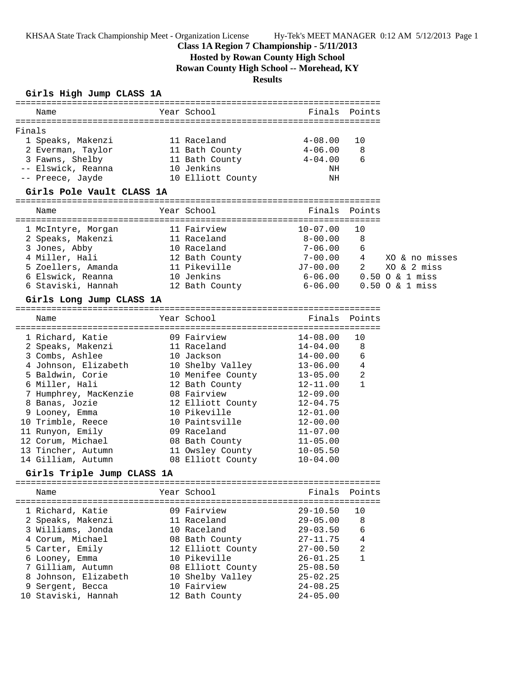KHSAA State Track Championship Meet - Organization License Hy-Tek's MEET MANAGER 0:12 AM 5/12/2013 Page 1

## **Class 1A Region 7 Championship - 5/11/2013**

# **Hosted by Rowan County High School**

**Rowan County High School -- Morehead, KY**

## **Results**

## **Girls High Jump CLASS 1A**

| Name                                                                                                                                                                                                                         | Year School States                   | Finals Points                                                           |                            |                                  |
|------------------------------------------------------------------------------------------------------------------------------------------------------------------------------------------------------------------------------|--------------------------------------|-------------------------------------------------------------------------|----------------------------|----------------------------------|
| Finals                                                                                                                                                                                                                       |                                      |                                                                         |                            |                                  |
| 1 Speaks, Makenzi                                                                                                                                                                                                            | 11 Raceland                          | $4 - 08.00$                                                             | 10                         |                                  |
|                                                                                                                                                                                                                              |                                      |                                                                         | $\overline{\phantom{0}}$ 8 |                                  |
|                                                                                                                                                                                                                              |                                      | $4 - 04.00$                                                             | 6                          |                                  |
| 2 Everman, Taylor 11 Bath County 11 4-06.00<br>3 Fawns, Shelby 11 Bath County 1999<br>10 Jenkins 10 Jenkins NH<br>-- Elswick, Reanna                                                                                         |                                      |                                                                         |                            |                                  |
| -- Preece, Jayde 10 Elliott County                                                                                                                                                                                           |                                      | ΝH                                                                      |                            |                                  |
| Girls Pole Vault CLASS 1A                                                                                                                                                                                                    |                                      |                                                                         |                            |                                  |
| Name                                                                                                                                                                                                                         | Year School                          | Finals Points                                                           |                            |                                  |
|                                                                                                                                                                                                                              |                                      |                                                                         |                            |                                  |
| 1 McIntyre, Morgan 11 Fairview                                                                                                                                                                                               |                                      | $10 - 07.00$                                                            | 10                         |                                  |
| 2 Speaks, Makenzi 11 Raceland 8-00.00                                                                                                                                                                                        |                                      |                                                                         | $\overline{\phantom{1}}$ 8 |                                  |
|                                                                                                                                                                                                                              |                                      | $7 - 06.00$                                                             | 6                          |                                  |
|                                                                                                                                                                                                                              |                                      |                                                                         |                            | $7-00.00$ 4 $\infty$ & no misses |
| 3 Jones, Abby<br>4 Miller, Hali<br>5 Zoellers, Amanda<br>5 Zoellers, Amanda<br>11 Pikeville<br>5 Flavick, Boarna                                                                                                             |                                      | J7-00.00      2        XO &  2  mis;<br>6-06.00      0.50  O &  1  miss |                            | XO & 2 miss                      |
| 6 Elswick, Reanna                                                                                                                                                                                                            | 10 Jenkins                           |                                                                         |                            |                                  |
| 6 Staviski, Hannah 12 Bath County 6-06.00 0.50 0 & 1 miss                                                                                                                                                                    |                                      |                                                                         |                            |                                  |
| Girls Long Jump CLASS 1A                                                                                                                                                                                                     |                                      |                                                                         |                            |                                  |
|                                                                                                                                                                                                                              |                                      |                                                                         |                            |                                  |
| Name                                                                                                                                                                                                                         | Year School                          | Finals Points                                                           |                            |                                  |
| 1 Richard, Katie                                                                                                                                                                                                             | 09 Fairview 14-08.00                 |                                                                         | 10                         |                                  |
|                                                                                                                                                                                                                              |                                      | $14 - 04.00$                                                            | 8                          |                                  |
|                                                                                                                                                                                                                              |                                      | $14 - 00.00$                                                            | 6                          |                                  |
| 3 Combs, Ashlee 10 Jackson 14-00.00<br>4 Johnson, Elizabeth 10 Shelby Valley 13-06.00<br>5 Baldwin, Corie 10 Menifee County 13-05.00<br>6 Miller, Hali 12 Bath County 12-11.00<br>7 Humphrey, MacKenzie 08 Fairview 12-09.00 |                                      |                                                                         |                            |                                  |
|                                                                                                                                                                                                                              |                                      | $13 - 06.00$ 4                                                          | $\overline{\phantom{0}}^2$ |                                  |
|                                                                                                                                                                                                                              |                                      |                                                                         | 1                          |                                  |
| 7 Humphrey, MacKenzie                                                                                                                                                                                                        |                                      |                                                                         |                            |                                  |
| 8 Banas, Jozie                                                                                                                                                                                                               | 12 Elliott County                    | $12 - 04.75$                                                            |                            |                                  |
| 9 Looney, Emma                                                                                                                                                                                                               | 10 Pikeville                         | $12 - 01.00$                                                            |                            |                                  |
| 10 Trimble, Reece                                                                                                                                                                                                            | 10 Paintsville                       | $12 - 00.00$                                                            |                            |                                  |
| 11 Runyon, Emily                                                                                                                                                                                                             | 09 Raceland                          | $11 - 07.00$                                                            |                            |                                  |
| 12 Corum, Michael                                                                                                                                                                                                            | 08 Bath County                       | $11 - 05.00$                                                            |                            |                                  |
| 13 Tincher, Autumn                                                                                                                                                                                                           | 11 Owsley County                     | $10 - 05.50$                                                            |                            |                                  |
| 14 Gilliam, Autumn                                                                                                                                                                                                           | 08 Elliott County                    | $10 - 04.00$                                                            |                            |                                  |
| Girls Triple Jump CLASS 1A                                                                                                                                                                                                   |                                      |                                                                         |                            |                                  |
|                                                                                                                                                                                                                              |                                      |                                                                         |                            |                                  |
| Name<br>================================                                                                                                                                                                                     | Year School<br>:==================== | Finals                                                                  | Points<br>==========       |                                  |
| 1 Richard, Katie                                                                                                                                                                                                             | 09 Fairview                          | $29 - 10.50$                                                            | 10                         |                                  |
| 2 Speaks, Makenzi                                                                                                                                                                                                            | 11 Raceland                          | $29 - 05.00$                                                            | 8                          |                                  |
| 3 Williams, Jonda                                                                                                                                                                                                            | 10 Raceland                          | $29 - 03.50$                                                            | 6                          |                                  |
| 4 Corum, Michael                                                                                                                                                                                                             | 08 Bath County                       | $27 - 11.75$                                                            | $\overline{4}$             |                                  |
| 5 Carter, Emily                                                                                                                                                                                                              | 12 Elliott County                    | $27 - 00.50$                                                            | 2                          |                                  |
| 6 Looney, Emma                                                                                                                                                                                                               | 10 Pikeville                         | $26 - 01.25$                                                            | $\mathbf{1}$               |                                  |
| 7 Gilliam, Autumn                                                                                                                                                                                                            | 08 Elliott County                    | $25 - 08.50$                                                            |                            |                                  |
| 8 Johnson, Elizabeth                                                                                                                                                                                                         | 10 Shelby Valley                     | $25 - 02.25$                                                            |                            |                                  |
| 9 Sergent, Becca                                                                                                                                                                                                             | 10 Fairview                          | $24 - 08.25$                                                            |                            |                                  |
| 10 Staviski, Hannah                                                                                                                                                                                                          | 12 Bath County                       | $24 - 05.00$                                                            |                            |                                  |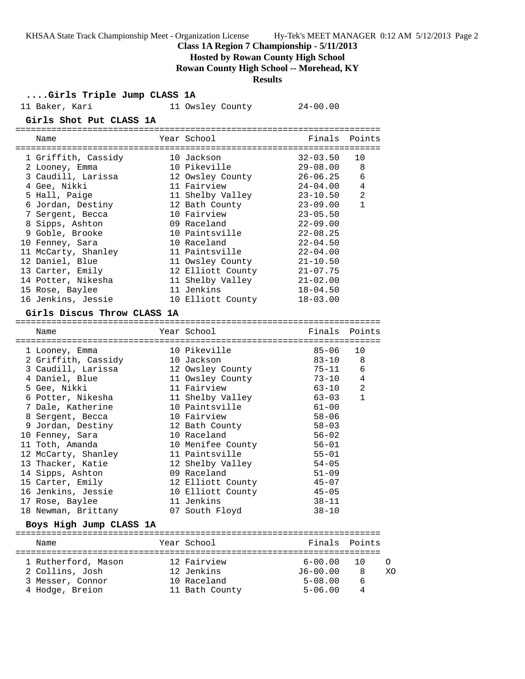KHSAA State Track Championship Meet - Organization License Hy-Tek's MEET MANAGER 0:12 AM 5/12/2013 Page 2

**Class 1A Region 7 Championship - 5/11/2013**

**Hosted by Rowan County High School**

**Rowan County High School -- Morehead, KY**

## **Results**

**....Girls Triple Jump CLASS 1A**

| 11 Baker, Kari                         | 11 Owsley County  | $24 - 00.00$ |               |
|----------------------------------------|-------------------|--------------|---------------|
| Girls Shot Put CLASS 1A                |                   |              |               |
| Name                                   | Year School       |              | Finals Points |
| 1 Griffith, Cassidy                    | 10 Jackson        | $32 - 03.50$ | 10            |
| 2 Looney, Emma                         | 10 Pikeville      | $29 - 08.00$ | 8             |
| 3 Caudill, Larissa                     | 12 Owsley County  | $26 - 06.25$ | 6             |
| 4 Gee, Nikki                           | 11 Fairview       | $24 - 04.00$ | 4             |
| 5 Hall, Paige                          | 11 Shelby Valley  | $23 - 10.50$ | 2             |
| 6 Jordan, Destiny                      | 12 Bath County    | $23 - 09.00$ | $\mathbf{1}$  |
| 7 Sergent, Becca                       | 10 Fairview       | $23 - 05.50$ |               |
| 8 Sipps, Ashton                        | 09 Raceland       | $22 - 09.00$ |               |
| 9 Goble, Brooke                        | 10 Paintsville    | $22 - 08.25$ |               |
| 10 Fenney, Sara                        | 10 Raceland       | $22 - 04.50$ |               |
| 11 McCarty, Shanley                    | 11 Paintsville    | $22 - 04.00$ |               |
| 12 Daniel, Blue                        | 11 Owsley County  | $21 - 10.50$ |               |
| 13 Carter, Emily                       | 12 Elliott County | $21 - 07.75$ |               |
| 14 Potter, Nikesha                     | 11 Shelby Valley  | $21 - 02.00$ |               |
| 15 Rose, Baylee                        | 11 Jenkins        | $18 - 04.50$ |               |
| 16 Jenkins, Jessie                     | 10 Elliott County | $18 - 03.00$ |               |
| Girls Discus Throw CLASS 1A            |                   |              |               |
| Name                                   | Year School       | Finals       | Points        |
| 1 Looney, Emma                         | 10 Pikeville      | $85 - 06$    | 10            |
| 2 Griffith, Cassidy                    | 10 Jackson        | $83 - 10$    | 8             |
| 3 Caudill, Larissa                     | 12 Owsley County  | 75-11        | 6             |
| 4 Daniel, Blue                         | 11 Owsley County  | 73-10        | 4             |
| 5 Gee, Nikki                           | 11 Fairview       | $63 - 10$    | 2             |
| 6 Potter, Nikesha                      | 11 Shelby Valley  | $63 - 03$    | 1             |
| 7 Dale, Katherine                      | 10 Paintsville    | $61 - 00$    |               |
| 8 Sergent, Becca                       | 10 Fairview       | $58 - 06$    |               |
| 9 Jordan, Destiny                      | 12 Bath County    | $58 - 03$    |               |
| 10 Fenney, Sara                        | 10 Raceland       | 56-02        |               |
| 11 Toth, Amanda                        | 10 Menifee County | $56 - 01$    |               |
| 12 McCarty, Shanley                    | 11 Paintsville    | $55 - 01$    |               |
| 13 Thacker, Katie                      | 12 Shelby Valley  | $54 - 05$    |               |
| 14 Sipps, Ashton                       | 09 Raceland       | $51 - 09$    |               |
| 15 Carter, Emily                       | 12 Elliott County | $45 - 07$    |               |
| 16 Jenkins, Jessie                     | 10 Elliott County | $45 - 05$    |               |
| 17 Rose, Baylee                        | 11 Jenkins        | $38 - 11$    |               |
| 18 Newman, Brittany                    | 07 South Floyd    | $38 - 10$    |               |
| Boys High Jump CLASS 1A                |                   |              |               |
| Name                                   | Year School       | Finals       | Points        |
|                                        | 12 Fairview       | $6 - 00.00$  | 10            |
| 1 Rutherford, Mason<br>2 Collins, Josh | 12 Jenkins        | $J6 - 00.00$ | 8             |
| 3 Messer, Connor                       | 10 Raceland       | $5 - 08.00$  | 6             |
|                                        |                   |              |               |

4 Hodge, Breion 11 Bath County 5-06.00 4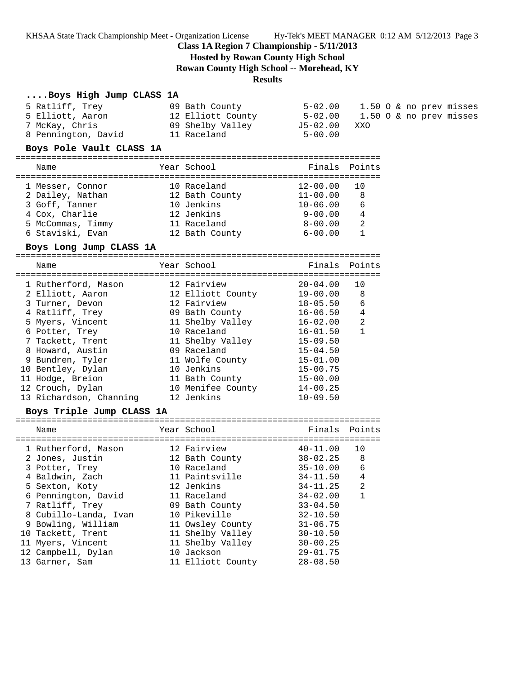KHSAA State Track Championship Meet - Organization License Hy-Tek's MEET MANAGER 0:12 AM 5/12/2013 Page 3

#### **Class 1A Region 7 Championship - 5/11/2013**

**Hosted by Rowan County High School**

**Rowan County High School -- Morehead, KY**

### **Results**

#### **....Boys High Jump CLASS 1A**

| 5 Ratliff, Trey     | 09 Bath County    | 5-02.00      | 1.50 O & no prev misses |
|---------------------|-------------------|--------------|-------------------------|
| 5 Elliott, Aaron    | 12 Elliott County | 5-02.00      | 1.50 O & no prev misses |
| 7 McKay, Chris      | 09 Shelby Valley  | J5-02.00 XXO |                         |
| 8 Pennington, David | 11 Raceland       | $5 - 00.00$  |                         |

#### **Boys Pole Vault CLASS 1A**

======================================================================= Name The Year School Controll of Finals Points ======================================================================= 1 Messer, Connor 10 Raceland 12-00.00 10 2 Dailey, Nathan 12 Bath County 11-00.00 8 3 Goff, Tanner 10 Jenkins 10-06.00 6 4 Cox, Charlie 12 Jenkins 9-00.00 4 5 McCommas, Timmy 11 Raceland 8-00.00 2 6 Staviski, Evan 12 Bath County 6-00.00 1

### **Boys Long Jump CLASS 1A**

======================================================================= Name Year School Finals Points ======================================================================= 1 Rutherford, Mason 12 Fairview 20-04.00 10 2 Elliott, Aaron 12 Elliott County 19-00.00 8 3 Turner, Devon 12 Fairview 18-05.50 6 4 Ratliff, Trey 09 Bath County 16-06.50 4 5 Myers, Vincent 11 Shelby Valley 16-02.00 2 6 Potter, Trey 10 Raceland 16-01.50 1 7 Tackett, Trent 11 Shelby Valley 15-09.50 8 Howard, Austin 09 Raceland 15-04.50 9 Bundren, Tyler 11 Wolfe County 15-01.00 10 Bentley, Dylan 10 Jenkins 15-00.75 11 Hodge, Breion 11 Bath County 15-00.00 12 Crouch, Dylan 10 Menifee County 14-00.25 13 Richardson, Channing 12 Jenkins 10-09.50

## **Boys Triple Jump CLASS 1A**

======================================================================= Name The Year School Team Points Points ======================================================================= 1 Rutherford, Mason 12 Fairview 40-11.00 10 2 Jones, Justin 12 Bath County 38-02.25 8 3 Potter, Trey 10 Raceland 35-10.00 6 4 Baldwin, Zach 11 Paintsville 34-11.50 4 5 Sexton, Koty 12 Jenkins 34-11.25 2 6 Pennington, David 11 Raceland 34-02.00 1 7 Ratliff, Trey 09 Bath County 33-04.50 8 Cubillo-Landa, Ivan 10 Pikeville 32-10.50 9 Bowling, William 11 Owsley County 31-06.75 10 Tackett, Trent 11 Shelby Valley 30-10.50 11 Myers, Vincent 11 Shelby Valley 30-00.25 12 Campbell, Dylan 10 Jackson 29-01.75 13 Garner, Sam 11 Elliott County 28-08.50